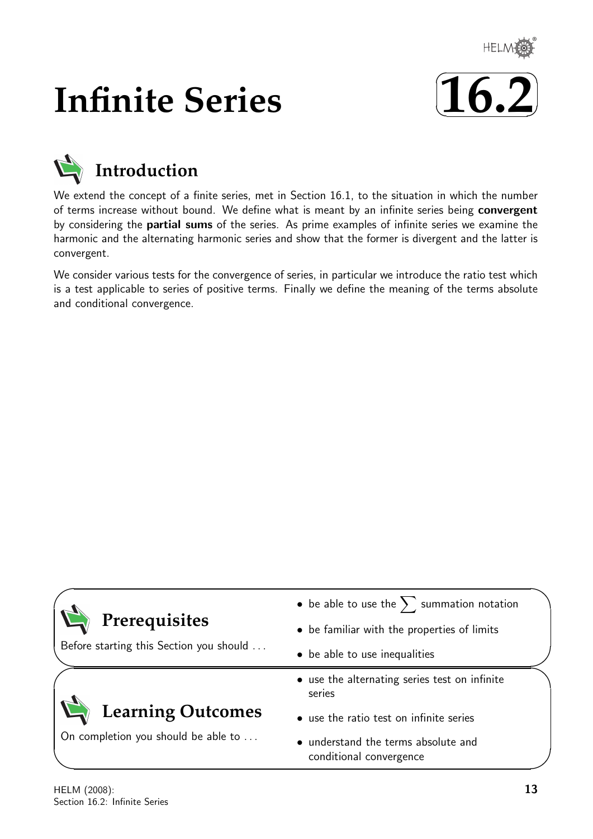

# **Infinite Series**





We extend the concept of a finite series, met in Section 16.1, to the situation in which the number of terms increase without bound. We define what is meant by an infinite series being convergent by considering the partial sums of the series. As prime examples of infinite series we examine the harmonic and the alternating harmonic series and show that the former is divergent and the latter is convergent.

We consider various tests for the convergence of series, in particular we introduce the ratio test which is a test applicable to series of positive terms. Finally we define the meaning of the terms absolute and conditional convergence.

|                                                          | • be able to use the $\sum$ summation notation                 |  |
|----------------------------------------------------------|----------------------------------------------------------------|--|
| Prerequisites<br>Before starting this Section you should | • be familiar with the properties of limits                    |  |
|                                                          | • be able to use inequalities                                  |  |
|                                                          | • use the alternating series test on infinite<br>series        |  |
| <b>Learning Outcomes</b>                                 | • use the ratio test on infinite series                        |  |
| On completion you should be able to                      | • understand the terms absolute and<br>conditional convergence |  |

 $\overline{\phantom{0}}$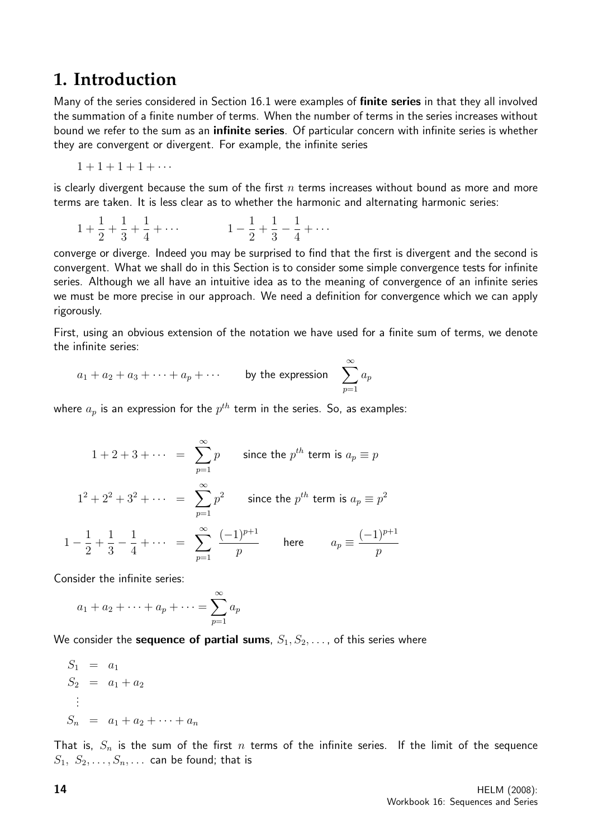## **1. Introduction**

Many of the series considered in Section 16.1 were examples of finite series in that they all involved the summation of a finite number of terms. When the number of terms in the series increases without bound we refer to the sum as an **infinite series**. Of particular concern with infinite series is whether they are convergent or divergent. For example, the infinite series

$$
1+1+1+1+\cdots
$$

is clearly divergent because the sum of the first  $n$  terms increases without bound as more and more terms are taken. It is less clear as to whether the harmonic and alternating harmonic series:

$$
1 + \frac{1}{2} + \frac{1}{3} + \frac{1}{4} + \cdots
$$
  

$$
1 - \frac{1}{2} + \frac{1}{3} - \frac{1}{4} + \cdots
$$

converge or diverge. Indeed you may be surprised to find that the first is divergent and the second is convergent. What we shall do in this Section is to consider some simple convergence tests for infinite series. Although we all have an intuitive idea as to the meaning of convergence of an infinite series we must be more precise in our approach. We need a definition for convergence which we can apply rigorously.

First, using an obvious extension of the notation we have used for a finite sum of terms, we denote the infinite series:

$$
a_1 + a_2 + a_3 + \cdots + a_p + \cdots
$$
 by the expression  $\sum_{p=1}^{\infty} a_p$ 

where  $a_p$  is an expression for the  $p^{th}$  term in the series. So, as examples:

$$
1 + 2 + 3 + \cdots = \sum_{p=1}^{\infty} p \text{ since the } p^{th} \text{ term is } a_p \equiv p
$$
  

$$
1^2 + 2^2 + 3^2 + \cdots = \sum_{p=1}^{\infty} p^2 \text{ since the } p^{th} \text{ term is } a_p \equiv p^2
$$
  

$$
1 - \frac{1}{2} + \frac{1}{3} - \frac{1}{4} + \cdots = \sum_{p=1}^{\infty} \frac{(-1)^{p+1}}{p} \text{ here } a_p \equiv \frac{(-1)^{p+1}}{p}
$$

Consider the infinite series:

$$
a_1 + a_2 + \dots + a_p + \dots = \sum_{p=1}^{\infty} a_p
$$

We consider the **sequence of partial sums**,  $S_1, S_2, \ldots$ , of this series where

$$
S_1 = a_1 \nS_2 = a_1 + a_2 \n\vdots \nS_n = a_1 + a_2 + \dots + a_n
$$

That is,  $S_n$  is the sum of the first n terms of the infinite series. If the limit of the sequence  $S_1, S_2, \ldots, S_n, \ldots$  can be found; that is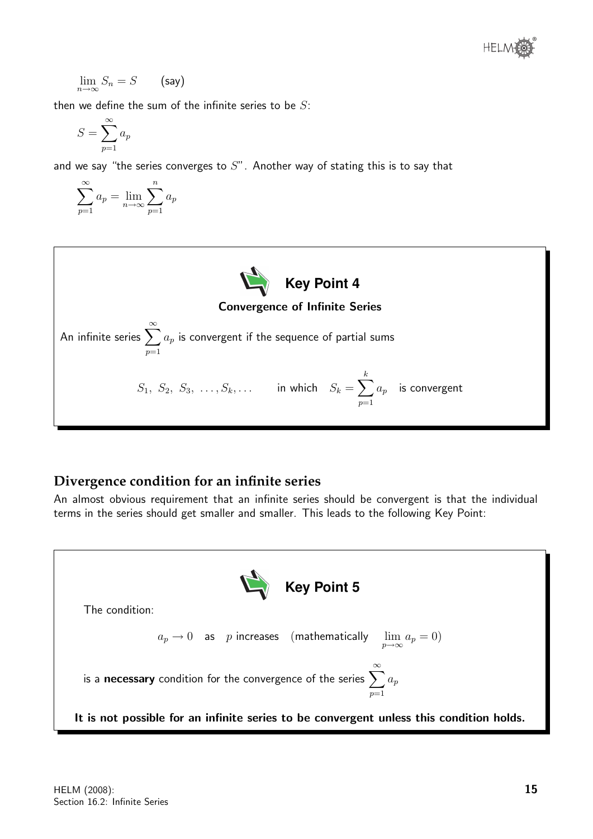

$$
\lim_{n \to \infty} S_n = S \qquad \text{(say)}
$$

then we define the sum of the infinite series to be  $S$ :

$$
S = \sum_{p=1}^{\infty} a_p
$$

and we say "the series converges to  $S$ ". Another way of stating this is to say that

$$
\sum_{p=1}^{\infty} a_p = \lim_{n \to \infty} \sum_{p=1}^{n} a_p
$$



#### **Divergence condition for an infinite series**

An almost obvious requirement that an infinite series should be convergent is that the individual terms in the series should get smaller and smaller. This leads to the following Key Point:

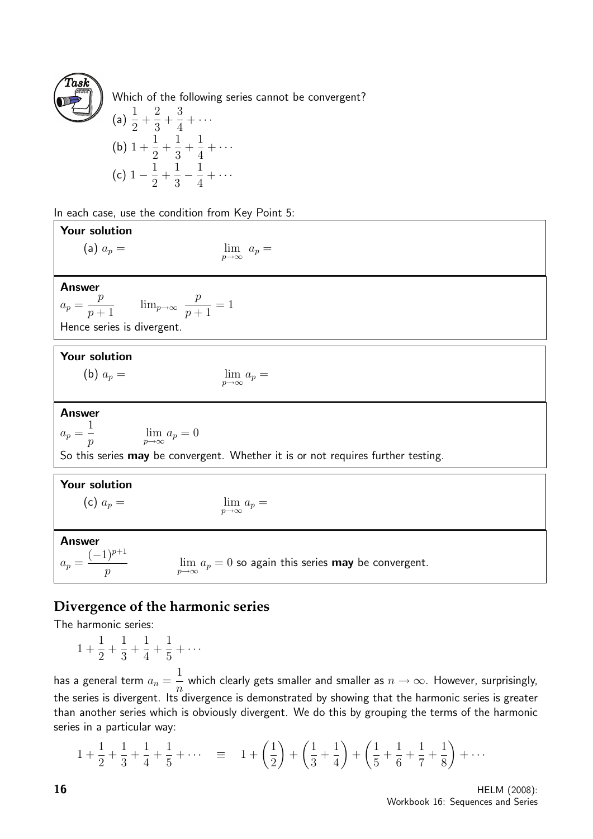

Which of the following series cannot be convergent?

(a) 
$$
\frac{1}{2} + \frac{2}{3} + \frac{3}{4} + \cdots
$$
  
\n(b)  $1 + \frac{1}{2} + \frac{1}{3} + \frac{1}{4} + \cdots$   
\n(c)  $1 - \frac{1}{2} + \frac{1}{3} - \frac{1}{4} + \cdots$ 

In each case, use the condition from Key Point 5:

| Your solution                                                                                                                             |  |  |
|-------------------------------------------------------------------------------------------------------------------------------------------|--|--|
| (a) $a_p =$<br>$\lim_{p\to\infty} a_p =$                                                                                                  |  |  |
|                                                                                                                                           |  |  |
| <b>Answer</b>                                                                                                                             |  |  |
| $a_p = \frac{p}{p+1}$ $\lim_{p \to \infty} \frac{p}{p+1} = 1$                                                                             |  |  |
| Hence series is divergent.                                                                                                                |  |  |
|                                                                                                                                           |  |  |
| Your solution                                                                                                                             |  |  |
| (b) $a_p =$<br>$\lim_{p\to\infty}a_p=$                                                                                                    |  |  |
|                                                                                                                                           |  |  |
| <b>Answer</b>                                                                                                                             |  |  |
| $a_p = \frac{1}{p}$<br>$\lim_{p\to\infty} a_p = 0$                                                                                        |  |  |
| So this series may be convergent. Whether it is or not requires further testing.                                                          |  |  |
| <b>Your solution</b>                                                                                                                      |  |  |
| (c) $a_p =$<br>$\lim_{p\to\infty}a_p=$                                                                                                    |  |  |
|                                                                                                                                           |  |  |
| <b>Answer</b>                                                                                                                             |  |  |
| $a_p = \frac{(-1)^{p+1}}{p}$<br>$\lim a_p = 0$ so again this series <b>may</b> be convergent.<br>$\boldsymbol{p}$<br>$p\rightarrow\infty$ |  |  |

### **Divergence of the harmonic series**

The harmonic series:

$$
1 + \frac{1}{2} + \frac{1}{3} + \frac{1}{4} + \frac{1}{5} + \dots
$$

has a general term  $a_n =$ 1 n which clearly gets smaller and smaller as  $n\to\infty.$  However, surprisingly, the series is divergent. Its divergence is demonstrated by showing that the harmonic series is greater than another series which is obviously divergent. We do this by grouping the terms of the harmonic series in a particular way:

$$
1 + \frac{1}{2} + \frac{1}{3} + \frac{1}{4} + \frac{1}{5} + \dots \quad \equiv \quad 1 + \left(\frac{1}{2}\right) + \left(\frac{1}{3} + \frac{1}{4}\right) + \left(\frac{1}{5} + \frac{1}{6} + \frac{1}{7} + \frac{1}{8}\right) + \dots
$$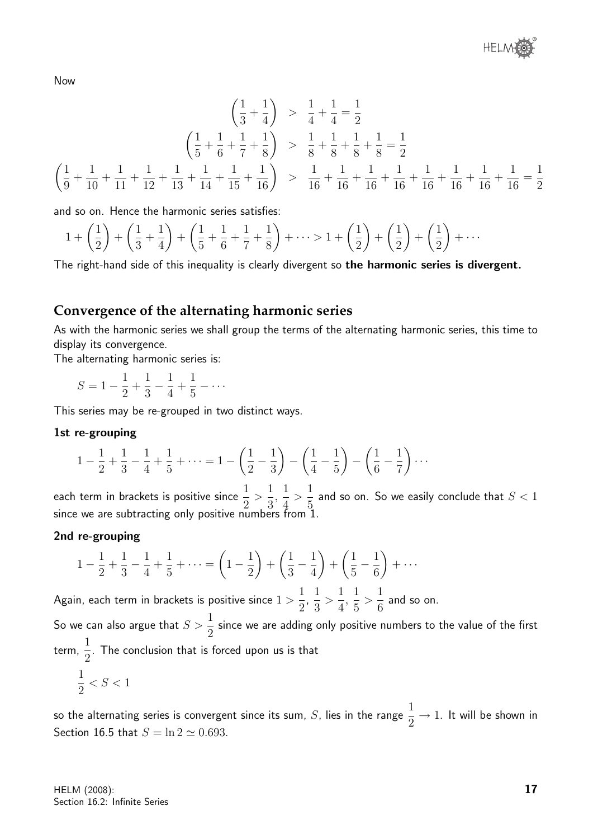Now

$$
\left(\frac{1}{3} + \frac{1}{4}\right) > \frac{1}{4} + \frac{1}{4} = \frac{1}{2}
$$
\n
$$
\left(\frac{1}{5} + \frac{1}{6} + \frac{1}{7} + \frac{1}{8}\right) > \frac{1}{8} + \frac{1}{8} + \frac{1}{8} + \frac{1}{8} = \frac{1}{2}
$$
\n
$$
\left(\frac{1}{9} + \frac{1}{10} + \frac{1}{11} + \frac{1}{12} + \frac{1}{13} + \frac{1}{14} + \frac{1}{15} + \frac{1}{16}\right) > \frac{1}{16} + \frac{1}{16} + \frac{1}{16} + \frac{1}{16} + \frac{1}{16} + \frac{1}{16} + \frac{1}{16} + \frac{1}{16} + \frac{1}{16} = \frac{1}{2}
$$

and so on. Hence the harmonic series satisfies:

$$
1 + \left(\frac{1}{2}\right) + \left(\frac{1}{3} + \frac{1}{4}\right) + \left(\frac{1}{5} + \frac{1}{6} + \frac{1}{7} + \frac{1}{8}\right) + \dots > 1 + \left(\frac{1}{2}\right) + \left(\frac{1}{2}\right) + \left(\frac{1}{2}\right) + \dots
$$

The right-hand side of this inequality is clearly divergent so the harmonic series is divergent.

#### **Convergence of the alternating harmonic series**

As with the harmonic series we shall group the terms of the alternating harmonic series, this time to display its convergence.

The alternating harmonic series is:

$$
S = 1 - \frac{1}{2} + \frac{1}{3} - \frac{1}{4} + \frac{1}{5} - \dots
$$

This series may be re-grouped in two distinct ways.

#### 1st re-grouping

$$
1 - \frac{1}{2} + \frac{1}{3} - \frac{1}{4} + \frac{1}{5} + \dots = 1 - \left(\frac{1}{2} - \frac{1}{3}\right) - \left(\frac{1}{4} - \frac{1}{5}\right) - \left(\frac{1}{6} - \frac{1}{7}\right) \dots
$$

each term in brackets is positive since  $\frac{1}{2}$ 2  $>$ 1 3 , 1 4  $>$ 1 5 and so on. So we easily conclude that  $S < 1$ since we are subtracting only positive numbers from 1.

#### 2nd re-grouping

$$
1 - \frac{1}{2} + \frac{1}{3} - \frac{1}{4} + \frac{1}{5} + \dots = \left(1 - \frac{1}{2}\right) + \left(\frac{1}{3} - \frac{1}{4}\right) + \left(\frac{1}{5} - \frac{1}{6}\right) + \dots
$$

Again, each term in brackets is positive since  $1 >$ 1 2 , 1 3  $>$ 1 4 , 1 5  $>$ 1 6 and so on.

So we can also argue that  $S > \frac{1}{2}$ 2 since we are adding only positive numbers to the value of the first term, 1 2 . The conclusion that is forced upon us is that

1 2  $\leq S \leq 1$ 

so the alternating series is convergent since its sum,  $S$ , lies in the range  $\frac{1}{\infty}$ 2  $\rightarrow$  1. It will be shown in Section 16.5 that  $S = \ln 2 \simeq 0.693$ .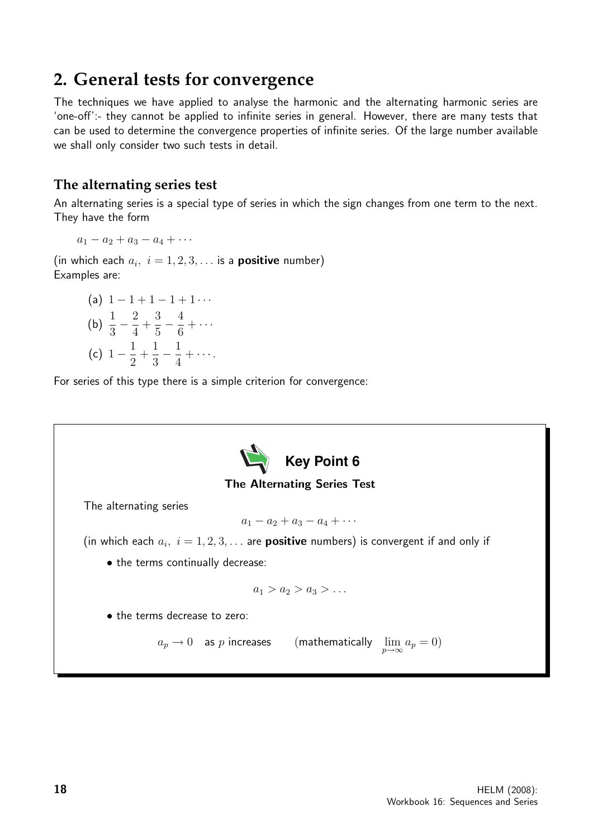## **2. General tests for convergence**

The techniques we have applied to analyse the harmonic and the alternating harmonic series are 'one-off':- they cannot be applied to infinite series in general. However, there are many tests that can be used to determine the convergence properties of infinite series. Of the large number available we shall only consider two such tests in detail.

#### **The alternating series test**

An alternating series is a special type of series in which the sign changes from one term to the next. They have the form

$$
a_1-a_2+a_3-a_4+\cdots
$$

(in which each  $a_i$ ,  $i = 1, 2, 3, \ldots$  is a **positive** number) Examples are:

(a) 
$$
1 - 1 + 1 - 1 + 1 \cdots
$$
  
\n(b)  $\frac{1}{3} - \frac{2}{4} + \frac{3}{5} - \frac{4}{6} + \cdots$   
\n(c)  $1 - \frac{1}{2} + \frac{1}{3} - \frac{1}{4} + \cdots$ 

For series of this type there is a simple criterion for convergence:

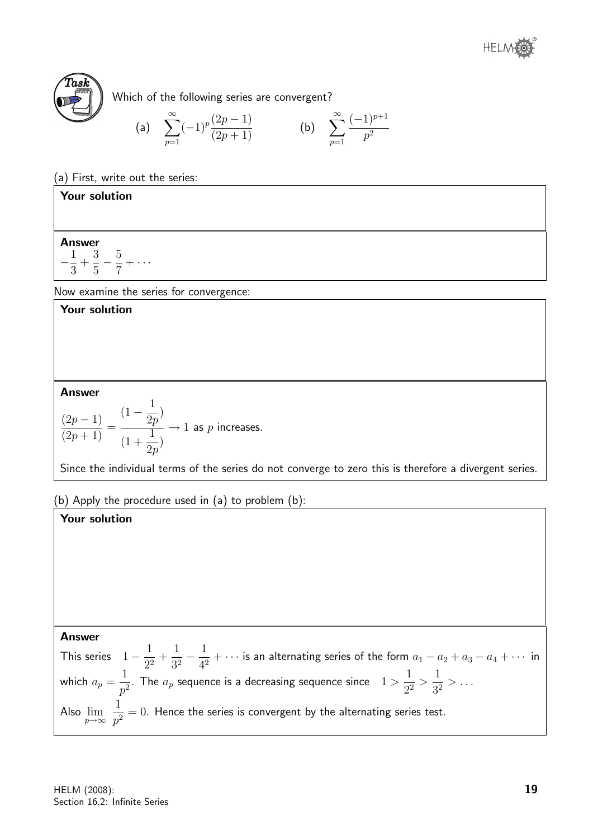



Which of the following series are convergent?

(a) 
$$
\sum_{p=1}^{\infty} (-1)^p \frac{(2p-1)}{(2p+1)}
$$
 (b)  $\sum_{p=1}^{\infty} \frac{(-1)^{p+1}}{p^2}$ 

(a) First, write out the series:

#### Your solution

#### Answer

 $-\frac{1}{2}$ 3  $+$ 3 5  $-\frac{5}{7}$ 7  $+ \cdots$ 

Now examine the series for convergence:

#### Your solution

#### Answer

$$
\frac{(2p-1)}{(2p+1)} = \frac{(1-\dfrac{1}{2p})}{(1+\dfrac{1}{2p})} \to 1 \text{ as } p \text{ increases.}
$$

Since the individual terms of the series do not converge to zero this is therefore a divergent series.

(b) Apply the procedure used in (a) to problem (b):

#### Your solution

#### Answer

This series  $1-\frac{1}{\alpha^2}$  $rac{1}{2^2}$  + 1  $rac{1}{3^2} - \frac{1}{4^2}$  $\frac{1}{4^2} + \cdots$  is an alternating series of the form  $a_1 - a_2 + a_3 - a_4 + \cdots$  in which  $a_p =$ 1  $\frac{1}{p^2}.$  The  $a_p$  sequence is a decreasing sequence since  $\quad 1>0$ 1  $rac{1}{2^2}$ 1  $\frac{1}{3^2} > ...$ Also  $\lim_{p\to\infty}$ 1  $\frac{1}{p^2}=0.$  Hence the series is convergent by the alternating series test.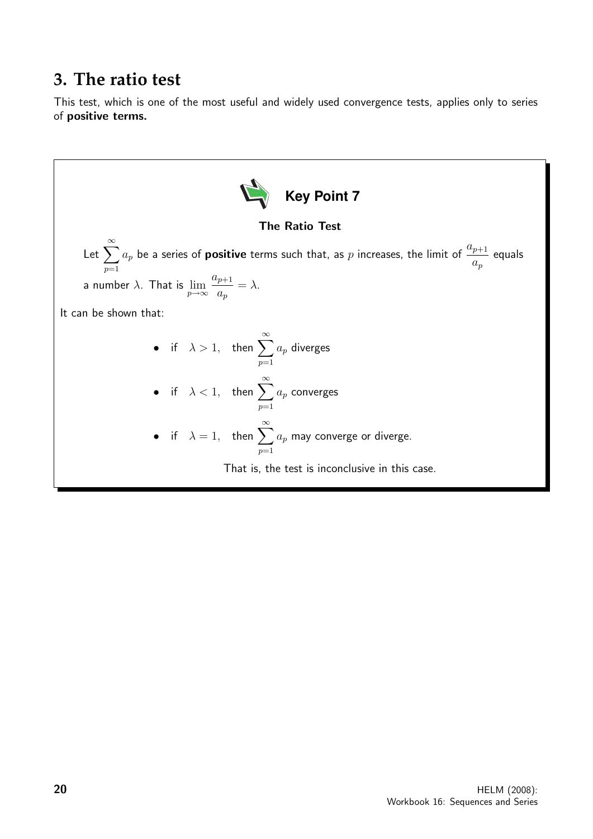## **3. The ratio test**

This test, which is one of the most useful and widely used convergence tests, applies only to series of positive terms.

**Key Point 7** The Ratio Test Let <sup>X</sup><sup>∞</sup> p=1 <sup>a</sup><sup>p</sup> be a series of positive terms such that, as <sup>p</sup> increases, the limit of <sup>a</sup>p+1 ap equals a number λ. That is lim p→∞ ap+1 ap = λ. It can be shown that: • if λ > <sup>1</sup>, then <sup>X</sup><sup>∞</sup> p=1 a<sup>p</sup> diverges • if λ < <sup>1</sup>, then <sup>X</sup><sup>∞</sup> p=1 a<sup>p</sup> converges • if <sup>λ</sup> = 1, then <sup>X</sup><sup>∞</sup> p=1 a<sup>p</sup> may converge or diverge. That is, the test is inconclusive in this case.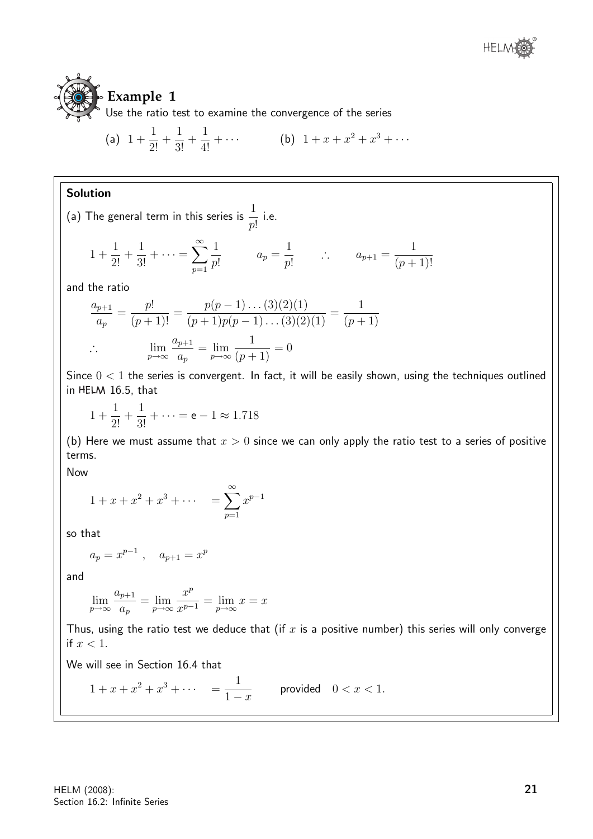

## **Example 1**

Use the ratio test to examine the convergence of the series

(a) 
$$
1 + \frac{1}{2!} + \frac{1}{3!} + \frac{1}{4!} + \cdots
$$
 (b)  $1 + x + x^2 + x^3 + \cdots$ 

#### Solution

(a) The general term in this series is  $\frac{1}{-}$ p! i.e.

$$
1 + \frac{1}{2!} + \frac{1}{3!} + \dots = \sum_{p=1}^{\infty} \frac{1}{p!} \qquad a_p = \frac{1}{p!} \qquad \therefore \qquad a_{p+1} = \frac{1}{(p+1)!}
$$

and the ratio

$$
\frac{a_{p+1}}{a_p} = \frac{p!}{(p+1)!} = \frac{p(p-1)\dots(3)(2)(1)}{(p+1)p(p-1)\dots(3)(2)(1)} = \frac{1}{(p+1)}
$$
  
 
$$
\therefore \qquad \lim_{p \to \infty} \frac{a_{p+1}}{a_p} = \lim_{p \to \infty} \frac{1}{(p+1)} = 0
$$

Since  $0 < 1$  the series is convergent. In fact, it will be easily shown, using the techniques outlined in HELM 16.5, that

$$
1 + \frac{1}{2!} + \frac{1}{3!} + \dots = e - 1 \approx 1.718
$$

(b) Here we must assume that  $x > 0$  since we can only apply the ratio test to a series of positive terms.

Now

$$
1 + x + x2 + x3 + \cdots = \sum_{p=1}^{\infty} x^{p-1}
$$

so that

$$
a_p = x^{p-1} \ , \quad a_{p+1} = x^p
$$

and

$$
\lim_{p \to \infty} \frac{a_{p+1}}{a_p} = \lim_{p \to \infty} \frac{x^p}{x^{p-1}} = \lim_{p \to \infty} x = x
$$

Thus, using the ratio test we deduce that (if  $x$  is a positive number) this series will only converge if  $x < 1$ .

We will see in Section 16.4 that

$$
1 + x + x2 + x3 + \cdots = \frac{1}{1 - x}
$$
 provided  $0 < x < 1$ .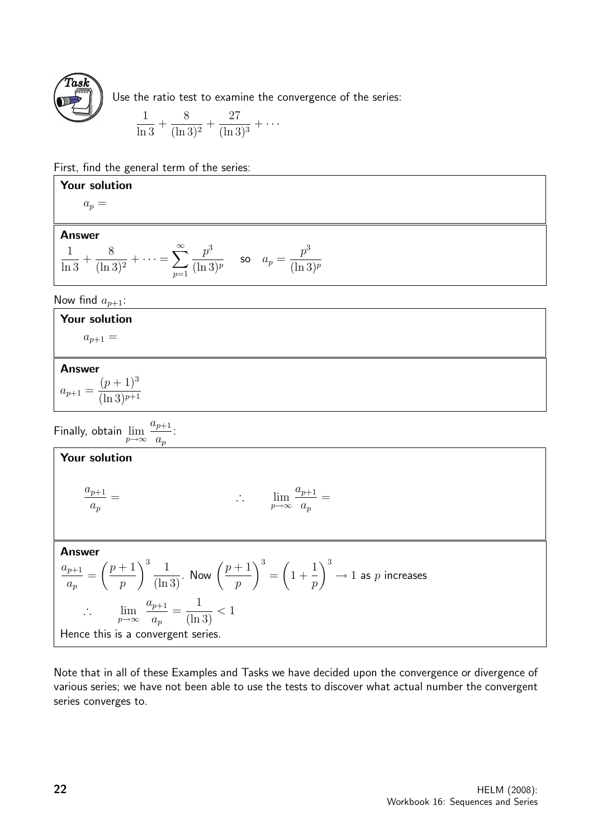

Use the ratio test to examine the convergence of the series:

$$
\frac{1}{\ln 3} + \frac{8}{(\ln 3)^2} + \frac{27}{(\ln 3)^3} + \cdots
$$

First, find the general term of the series:

#### Your solution

 $a_n =$ 

#### Answer

$$
\frac{1}{\ln 3} + \frac{8}{(\ln 3)^2} + \dots = \sum_{p=1}^{\infty} \frac{p^3}{(\ln 3)^p}
$$
 so  $a_p = \frac{p^3}{(\ln 3)^p}$ 

Now find  $a_{p+1}$ :

#### Your solution

 $a_{p+1} =$ 

#### Answer

 $a_{p+1} =$  $(p+1)^3$  $(\ln 3)^{p+1}$ 

Finally, obtain  $\lim_{p\to\infty}$  $a_{p+1}$  $a_p$ :

#### Your solution  $a_{p+1}$  $a_p$  $=$  ∴  $\lim_{p\to\infty}$  $a_{p+1}$  $a_p$ = Answer  $a_{p+1}$  $a_p$ =  $\sqrt{p+1}$ p  $\int_0^3 \frac{1}{(\ln 3)}$ . Now  $\left(\frac{p+1}{p}\right)$ p  $\setminus^3$ =  $\sqrt{ }$ 1 + 1 p  $\setminus^3$  $\rightarrow 1$  as  $p$  increases ∴  $\lim_{p\to\infty}$  $a_{p+1}$  $a_p$ = 1  $\frac{1}{(\ln 3)} < 1$ Hence this is a convergent series.

Note that in all of these Examples and Tasks we have decided upon the convergence or divergence of various series; we have not been able to use the tests to discover what actual number the convergent series converges to.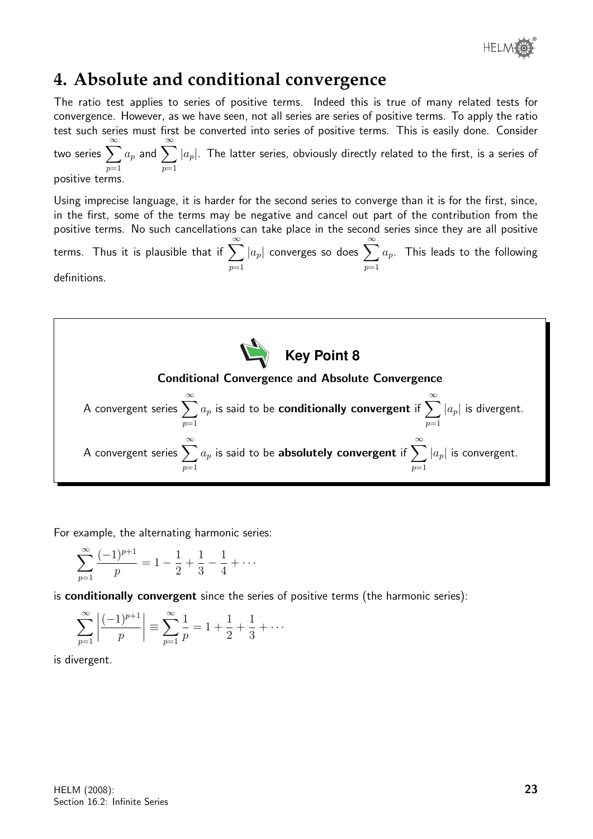

## **4. Absolute and conditional convergence**

 $p=1$ 

The ratio test applies to series of positive terms. Indeed this is true of many related tests for convergence. However, as we have seen, not all series are series of positive terms. To apply the ratio test such series must first be converted into series of positive terms. This is easily done. Consider two series  $\sum_{n=0}^{\infty}$  $a_p$  and  $\sum^{\infty}$ 

 $p=1$  $p=1$  $|a_p|.$  The latter series, obviously directly related to the first, is a series of

positive terms.

Using imprecise language, it is harder for the second series to converge than it is for the first, since, in the first, some of the terms may be negative and cancel out part of the contribution from the positive terms. No such cancellations can take place in the second series since they are all positive .<br>terms. Thus it is plausible that if  $\sum_{n=0}^{\infty}$  $|a_p|$  converges so does  $\sum^{\infty}$  $a_p$ . This leads to the following

 $p=1$ 

definitions.



For example, the alternating harmonic series:

$$
\sum_{p=1}^{\infty} \frac{(-1)^{p+1}}{p} = 1 - \frac{1}{2} + \frac{1}{3} - \frac{1}{4} + \cdots
$$

is conditionally convergent since the series of positive terms (the harmonic series):

$$
\sum_{p=1}^{\infty} \left| \frac{(-1)^{p+1}}{p} \right| \equiv \sum_{p=1}^{\infty} \frac{1}{p} = 1 + \frac{1}{2} + \frac{1}{3} + \cdots
$$

is divergent.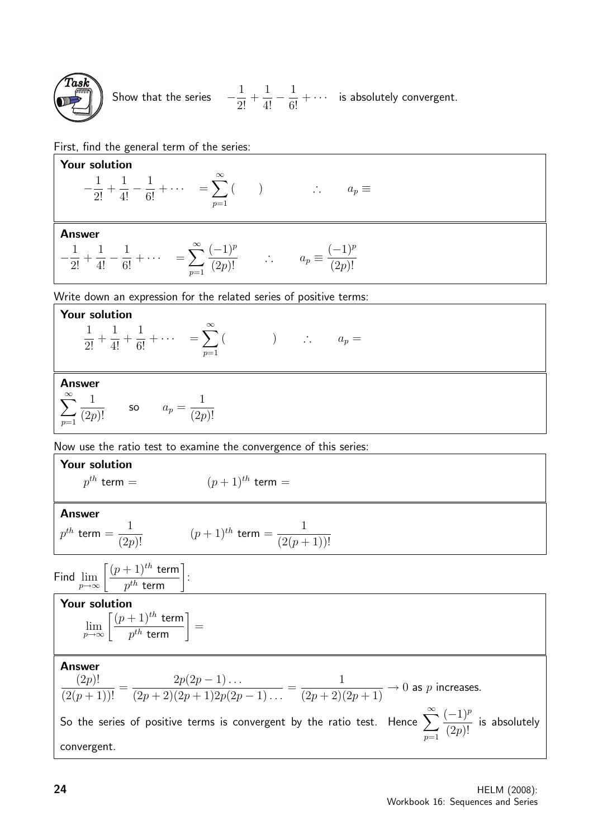

Show that the series  $-\frac{1}{2}$  $rac{1}{2!}$  +  $\frac{1}{4!} - \frac{1}{6!} + \cdots$  is absolutely convergent.

First, find the general term of the series:

**Your solution**  
\n
$$
-\frac{1}{2!} + \frac{1}{4!} - \frac{1}{6!} + \cdots = \sum_{p=1}^{\infty} (1) \qquad \therefore \qquad a_p \equiv
$$
\n**Answer**  
\n
$$
-\frac{1}{2!} + \frac{1}{4!} - \frac{1}{6!} + \cdots = \sum_{p=1}^{\infty} \frac{(-1)^p}{(2p)!} \qquad \therefore \qquad a_p \equiv \frac{(-1)^p}{(2p)!}
$$
\nWrite down an expression for the related series of positive terms:  
\n**Your solution**  
\n
$$
\frac{1}{2!} + \frac{1}{4!} + \frac{1}{6!} + \cdots = \sum_{p=1}^{\infty} (1) \qquad \therefore \qquad a_p =
$$
\n**Answer**  
\n
$$
\sum_{p=1}^{\infty} \frac{1}{(2p)!}
$$
\nso  $a_p = \frac{1}{(2p)!}$   
\nNow use the ratio test to examine the convergence of this series:  
\n**Your solution**  
\n $p^{th}$  term =  $(p+1)^{th}$  term =  
\n**Answer**  
\n $p^{th}$  term =  $(p+1)^{th}$  term =  $\frac{1}{(2(p+1))!}$   
\n**Find**  
\n $\lim_{p \to \infty} \left[ \frac{(p+1)^{th} \text{ term}}{p^{th} \text{ term}} \right]$ :  
\n**Figure**  
\n**Answer**  
\n**Answer**  
\n
$$
\lim_{p \to \infty} \left[ \frac{(p+1)^{th} \text{ term}}{p^{th} \text{ term}} \right] =
$$
\n**Answer**  
\n**Answer**  
\n
$$
\frac{1}{(2(p+1))!} = \frac{2p(2p-1) \dots}{(2p+2)(2p+1)2p(2p-1) \dots} = \frac{1}{(2p+2)(2p+1)} \to 0 \text{ as } p \text{ increases.}
$$
\nSo the series of positive terms is convergent by the ratio test. Hence  $\sum_{p=1}^{\infty} \frac{(-1)^p}{(2p)!}$  is absolutely convergent.